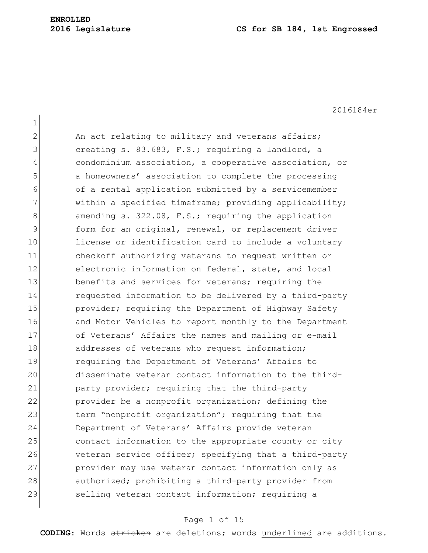2016184er

| $\mathbf 1$  |                                                        |
|--------------|--------------------------------------------------------|
| $\mathbf{2}$ | An act relating to military and veterans affairs;      |
| 3            | creating s. 83.683, F.S.; requiring a landlord, a      |
| 4            | condominium association, a cooperative association, or |
| 5            | a homeowners' association to complete the processing   |
| 6            | of a rental application submitted by a servicemember   |
| 7            | within a specified timeframe; providing applicability; |
| 8            | amending s. 322.08, F.S.; requiring the application    |
| $\mathsf 9$  | form for an original, renewal, or replacement driver   |
| 10           | license or identification card to include a voluntary  |
| 11           | checkoff authorizing veterans to request written or    |
| 12           | electronic information on federal, state, and local    |
| 13           | benefits and services for veterans; requiring the      |
| 14           | requested information to be delivered by a third-party |
| 15           | provider; requiring the Department of Highway Safety   |
| 16           | and Motor Vehicles to report monthly to the Department |
| 17           | of Veterans' Affairs the names and mailing or e-mail   |
| 18           | addresses of veterans who request information;         |
| 19           | requiring the Department of Veterans' Affairs to       |
| 20           | disseminate veteran contact information to the third-  |
| 21           | party provider; requiring that the third-party         |
| 22           | provider be a nonprofit organization; defining the     |
| 23           | term "nonprofit organization"; requiring that the      |
| 24           | Department of Veterans' Affairs provide veteran        |
| 25           | contact information to the appropriate county or city  |
| 26           | veteran service officer; specifying that a third-party |
| 27           | provider may use veteran contact information only as   |
| 28           | authorized; prohibiting a third-party provider from    |
| 29           | selling veteran contact information; requiring a       |

## Page 1 of 15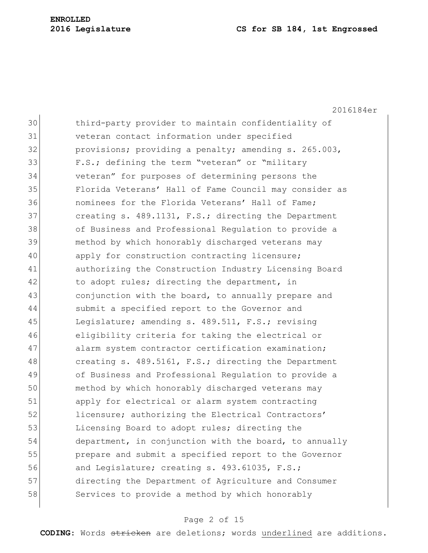#### **2016 Legislature CS for SB 184, 1st Engrossed**

2016184er 30 third-party provider to maintain confidentiality of 31 veteran contact information under specified 32 provisions; providing a penalty; amending s. 265.003, 33 F.S.; defining the term "veteran" or "military 34 veteran" for purposes of determining persons the 35 Florida Veterans' Hall of Fame Council may consider as 36 nominees for the Florida Veterans' Hall of Fame; 37 creating s. 489.1131, F.S.; directing the Department 38 of Business and Professional Regulation to provide a 39 method by which honorably discharged veterans may 40 apply for construction contracting licensure; 41 authorizing the Construction Industry Licensing Board 42 to adopt rules; directing the department, in 43 conjunction with the board, to annually prepare and 44 Submit a specified report to the Governor and 45 Legislature; amending s. 489.511, F.S.; revising 46 eligibility criteria for taking the electrical or 47 alarm system contractor certification examination; 48 creating s. 489.5161, F.S.; directing the Department 49 of Business and Professional Regulation to provide a 50 method by which honorably discharged veterans may 51 apply for electrical or alarm system contracting 52 licensure; authorizing the Electrical Contractors' 53 Licensing Board to adopt rules; directing the 54 department, in conjunction with the board, to annually 55 prepare and submit a specified report to the Governor 56 and Legislature; creating s. 493.61035, F.S.; 57 directing the Department of Agriculture and Consumer 58 Services to provide a method by which honorably

#### Page 2 of 15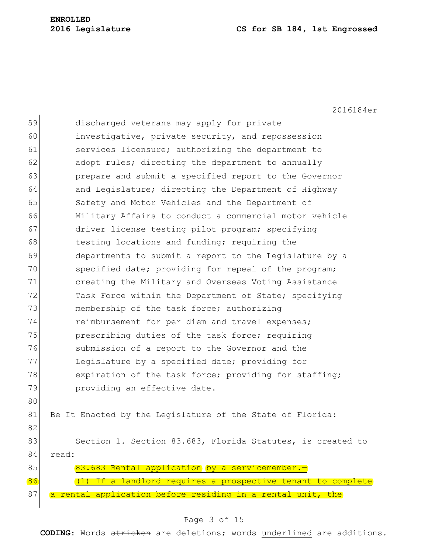# **ENROLLED**

#### **Legislature CS for SB 184, 1st Engrossed**

2016184er

| 59 | discharged veterans may apply for private                   |
|----|-------------------------------------------------------------|
| 60 | investigative, private security, and repossession           |
| 61 | services licensure; authorizing the department to           |
| 62 | adopt rules; directing the department to annually           |
| 63 | prepare and submit a specified report to the Governor       |
| 64 | and Legislature; directing the Department of Highway        |
| 65 | Safety and Motor Vehicles and the Department of             |
| 66 | Military Affairs to conduct a commercial motor vehicle      |
| 67 | driver license testing pilot program; specifying            |
| 68 | testing locations and funding; requiring the                |
| 69 | departments to submit a report to the Legislature by a      |
| 70 | specified date; providing for repeal of the program;        |
| 71 | creating the Military and Overseas Voting Assistance        |
| 72 | Task Force within the Department of State; specifying       |
| 73 | membership of the task force; authorizing                   |
| 74 | reimbursement for per diem and travel expenses;             |
| 75 | prescribing duties of the task force; requiring             |
| 76 | submission of a report to the Governor and the              |
| 77 | Legislature by a specified date; providing for              |
| 78 | expiration of the task force; providing for staffing;       |
| 79 | providing an effective date.                                |
| 80 |                                                             |
| 81 | Be It Enacted by the Legislature of the State of Florida:   |
| 82 |                                                             |
| 83 | Section 1. Section 83.683, Florida Statutes, is created to  |
| 84 | read:                                                       |
| 85 | 83.683 Rental application by a servicemember.-              |
| 86 | (1) If a landlord requires a prospective tenant to complete |
| 87 | a rental application before residing in a rental unit, the  |
|    |                                                             |

## Page 3 of 15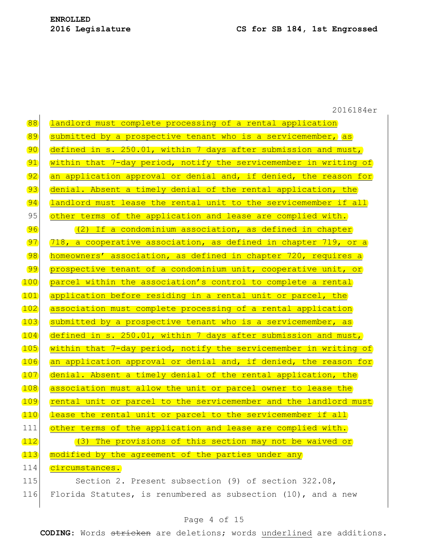|              | 2016184er                                                        |
|--------------|------------------------------------------------------------------|
| 88           | landlord must complete processing of a rental application        |
| 89           | submitted by a prospective tenant who is a servicemember, as     |
| 90           | defined in s. 250.01, within 7 days after submission and must,   |
| 91           | within that 7-day period, notify the servicemember in writing of |
| 92           | an application approval or denial and, if denied, the reason for |
| 93           | denial. Absent a timely denial of the rental application, the    |
| $\boxed{94}$ | landlord must lease the rental unit to the servicemember if all  |
| 95           | other terms of the application and lease are complied with.      |
| 96           | (2) If a condominium association, as defined in chapter          |
| 97           | 718, a cooperative association, as defined in chapter 719, or a  |
| 98           | homeowners' association, as defined in chapter 720, requires a   |
| 99           | prospective tenant of a condominium unit, cooperative unit, or   |
| 100          | parcel within the association's control to complete a rental     |
| <u> 101</u>  | application before residing in a rental unit or parcel, the      |
| <u> 102</u>  | association must complete processing of a rental application     |
| 103          | submitted by a prospective tenant who is a servicemember, as     |
| <u>104</u>   | defined in s. 250.01, within 7 days after submission and must,   |
| 105          | within that 7-day period, notify the servicemember in writing of |
| 106          | an application approval or denial and, if denied, the reason for |
| 107          | denial. Absent a timely denial of the rental application, the    |
| <u>108</u>   | association must allow the unit or parcel owner to lease the     |
| 109          | rental unit or parcel to the servicemember and the landlord must |
| 110          | lease the rental unit or parcel to the servicemember if all      |
| 111          | other terms of the application and lease are complied with.      |
| <u> 112</u>  | (3) The provisions of this section may not be waived or          |
| 113          | modified by the agreement of the parties under any               |
| 114          | circumstances.                                                   |
| 115          | Section 2. Present subsection (9) of section 322.08,             |
| 116          | Florida Statutes, is renumbered as subsection (10), and a new    |

## Page 4 of 15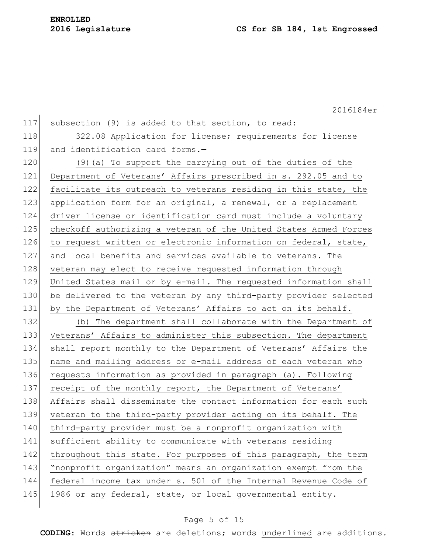2016184er

| 117 | subsection (9) is added to that section, to read:                |
|-----|------------------------------------------------------------------|
| 118 | 322.08 Application for license; requirements for license         |
| 119 | and identification card forms.-                                  |
| 120 | (9) (a) To support the carrying out of the duties of the         |
| 121 | Department of Veterans' Affairs prescribed in s. 292.05 and to   |
| 122 | facilitate its outreach to veterans residing in this state, the  |
| 123 | application form for an original, a renewal, or a replacement    |
| 124 | driver license or identification card must include a voluntary   |
| 125 | checkoff authorizing a veteran of the United States Armed Forces |
| 126 | to request written or electronic information on federal, state,  |
| 127 | and local benefits and services available to veterans. The       |
| 128 | veteran may elect to receive requested information through       |
| 129 | United States mail or by e-mail. The requested information shall |
| 130 | be delivered to the veteran by any third-party provider selected |
| 131 | by the Department of Veterans' Affairs to act on its behalf.     |
| 132 | (b) The department shall collaborate with the Department of      |
| 133 | Veterans' Affairs to administer this subsection. The department  |
| 134 | shall report monthly to the Department of Veterans' Affairs the  |
| 135 | name and mailing address or e-mail address of each veteran who   |
| 136 | requests information as provided in paragraph (a). Following     |
| 137 | receipt of the monthly report, the Department of Veterans'       |
| 138 | Affairs shall disseminate the contact information for each such  |
| 139 | veteran to the third-party provider acting on its behalf. The    |
| 140 | third-party provider must be a nonprofit organization with       |
| 141 | sufficient ability to communicate with veterans residing         |
| 142 | throughout this state. For purposes of this paragraph, the term  |
| 143 | "nonprofit organization" means an organization exempt from the   |
| 144 | federal income tax under s. 501 of the Internal Revenue Code of  |
| 145 | 1986 or any federal, state, or local governmental entity.        |
|     |                                                                  |

## Page 5 of 15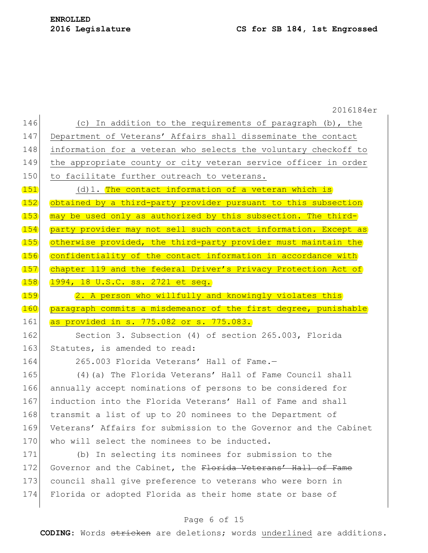|       | 2016184er                                                        |
|-------|------------------------------------------------------------------|
| 146   | (c) In addition to the requirements of paragraph (b), the        |
| 147   | Department of Veterans' Affairs shall disseminate the contact    |
| 148   | information for a veteran who selects the voluntary checkoff to  |
| 149   | the appropriate county or city veteran service officer in order  |
| 150   | to facilitate further outreach to veterans.                      |
| 151   | $(d) 1.$ The contact information of a veteran which is           |
| 152   | obtained by a third-party provider pursuant to this subsection   |
| 153   | may be used only as authorized by this subsection. The third-    |
| 154   | party provider may not sell such contact information. Except as  |
| 155   | otherwise provided, the third-party provider must maintain the   |
| 156   | confidentiality of the contact information in accordance with    |
| (157) | chapter 119 and the federal Driver's Privacy Protection Act of   |
| 158   | 1994, 18 U.S.C. ss. 2721 et seq.                                 |
| 159   | 2. A person who willfully and knowingly violates this            |
|       |                                                                  |
| 160   | paragraph commits a misdemeanor of the first degree, punishable  |
| 161   | as provided in s. 775.082 or s. 775.083.                         |
| 162   | Section 3. Subsection (4) of section 265.003, Florida            |
| 163   | Statutes, is amended to read:                                    |
| 164   | 265.003 Florida Veterans' Hall of Fame.-                         |
| 165   | (4) (a) The Florida Veterans' Hall of Fame Council shall         |
| 166   | annually accept nominations of persons to be considered for      |
| 167   | induction into the Florida Veterans' Hall of Fame and shall      |
| 168   | transmit a list of up to 20 nominees to the Department of        |
| 169   | Veterans' Affairs for submission to the Governor and the Cabinet |
| 170   | who will select the nominees to be inducted.                     |
| 171   | (b) In selecting its nominees for submission to the              |
| 172   | Governor and the Cabinet, the Florida Veterans' Hall of Fame     |
| 173   | council shall give preference to veterans who were born in       |
| 174   | Florida or adopted Florida as their home state or base of        |

## Page 6 of 15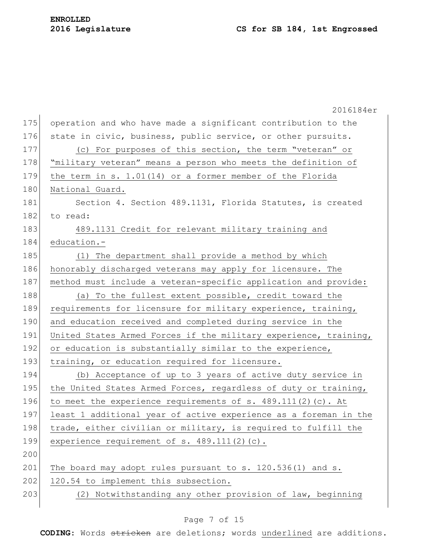|     | 2016184er                                                        |
|-----|------------------------------------------------------------------|
| 175 | operation and who have made a significant contribution to the    |
| 176 | state in civic, business, public service, or other pursuits.     |
| 177 | (c) For purposes of this section, the term "veteran" or          |
| 178 | "military veteran" means a person who meets the definition of    |
| 179 | the term in s. 1.01(14) or a former member of the Florida        |
| 180 | National Guard.                                                  |
| 181 | Section 4. Section 489.1131, Florida Statutes, is created        |
| 182 | to read:                                                         |
| 183 | 489.1131 Credit for relevant military training and               |
| 184 | education.-                                                      |
| 185 | (1) The department shall provide a method by which               |
| 186 | honorably discharged veterans may apply for licensure. The       |
| 187 | method must include a veteran-specific application and provide:  |
| 188 | (a) To the fullest extent possible, credit toward the            |
| 189 | requirements for licensure for military experience, training,    |
| 190 | and education received and completed during service in the       |
| 191 | United States Armed Forces if the military experience, training, |
| 192 | or education is substantially similar to the experience,         |
| 193 | training, or education required for licensure.                   |
| 194 | (b) Acceptance of up to 3 years of active duty service in        |
| 195 | the United States Armed Forces, regardless of duty or training,  |
| 196 | to meet the experience requirements of s. 489.111(2)(c). At      |
| 197 | least 1 additional year of active experience as a foreman in the |
| 198 | trade, either civilian or military, is required to fulfill the   |
| 199 | experience requirement of s. 489.111(2)(c).                      |
| 200 |                                                                  |
| 201 | The board may adopt rules pursuant to s. 120.536(1) and s.       |
| 202 | 120.54 to implement this subsection.                             |
| 203 | (2) Notwithstanding any other provision of law, beginning        |
|     |                                                                  |

## Page 7 of 15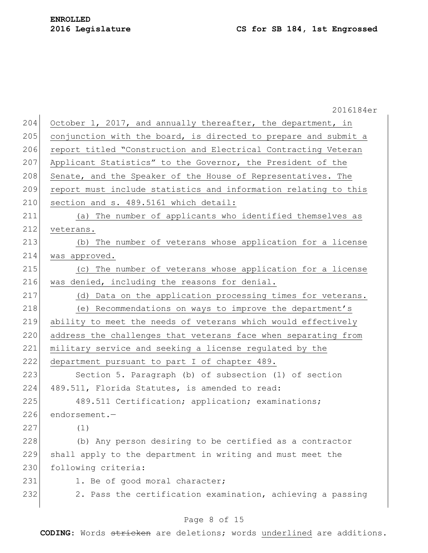|     | 2016184er                                                       |
|-----|-----------------------------------------------------------------|
| 204 | October 1, 2017, and annually thereafter, the department, in    |
| 205 | conjunction with the board, is directed to prepare and submit a |
| 206 | report titled "Construction and Electrical Contracting Veteran  |
| 207 | Applicant Statistics" to the Governor, the President of the     |
| 208 | Senate, and the Speaker of the House of Representatives. The    |
| 209 | report must include statistics and information relating to this |
| 210 | section and s. 489.5161 which detail:                           |
| 211 | (a) The number of applicants who identified themselves as       |
| 212 | veterans.                                                       |
| 213 | (b) The number of veterans whose application for a license      |
| 214 | was approved.                                                   |
| 215 | (c) The number of veterans whose application for a license      |
| 216 | was denied, including the reasons for denial.                   |
| 217 | (d) Data on the application processing times for veterans.      |
| 218 | (e) Recommendations on ways to improve the department's         |
| 219 | ability to meet the needs of veterans which would effectively   |
| 220 | address the challenges that veterans face when separating from  |
| 221 | military service and seeking a license regulated by the         |
| 222 | department pursuant to part I of chapter 489.                   |
| 223 | Section 5. Paragraph (b) of subsection (1) of section           |
| 224 | 489.511, Florida Statutes, is amended to read:                  |
| 225 | 489.511 Certification; application; examinations;               |
| 226 | endorsement.-                                                   |
| 227 | (1)                                                             |
| 228 | (b) Any person desiring to be certified as a contractor         |
| 229 | shall apply to the department in writing and must meet the      |
| 230 | following criteria:                                             |
| 231 | 1. Be of good moral character;                                  |
| 232 | 2. Pass the certification examination, achieving a passing      |
|     |                                                                 |

## Page 8 of 15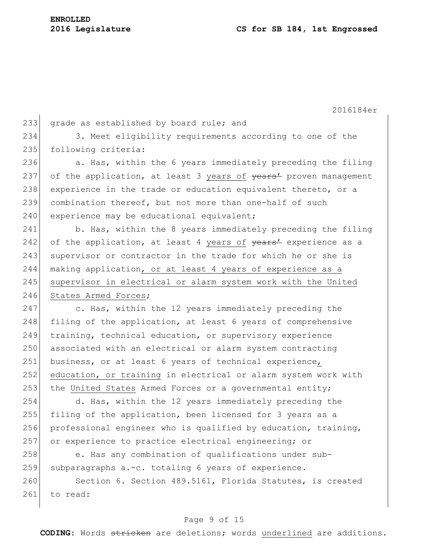2016184er 233 grade as established by board rule; and 234 3. Meet eligibility requirements according to one of the 235 following criteria: 236  $\vert$  a. Has, within the 6 years immediately preceding the filing 237 of the application, at least 3 years of years' proven management 238 experience in the trade or education equivalent thereto, or a 239 combination thereof, but not more than one-half of such 240 experience may be educational equivalent; 241 b. Has, within the 8 years immediately preceding the filing 242 of the application, at least 4 years of  $\frac{1}{2}$  experience as a 243 supervisor or contractor in the trade for which he or she is 244 making application, or at least 4 years of experience as a 245 supervisor in electrical or alarm system work with the United 246 States Armed Forces; 247 c. Has, within the 12 years immediately preceding the 248 filing of the application, at least 6 years of comprehensive 249 training, technical education, or supervisory experience 250 associated with an electrical or alarm system contracting 251 business, or at least 6 years of technical experience, 252 education, or training in electrical or alarm system work with 253 the United States Armed Forces or a governmental entity; 254 d. Has, within the 12 years immediately preceding the 255 filing of the application, been licensed for 3 years as a 256 professional engineer who is qualified by education, training, 257 or experience to practice electrical engineering; or 258 e. Has any combination of qualifications under sub-259 subparagraphs  $a.-c.$  totaling 6 years of experience. 260 Section 6. Section 489.5161, Florida Statutes, is created

## 261 to read:

#### Page 9 of 15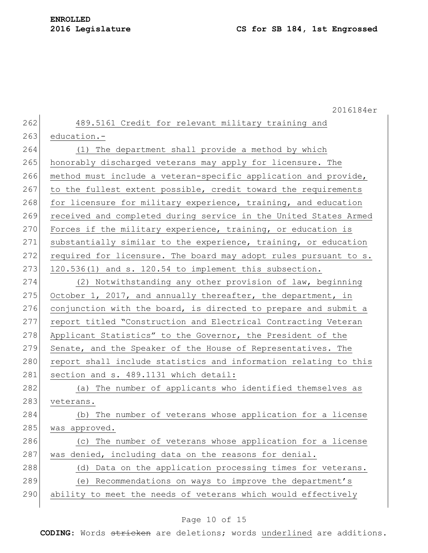# **ENROLLED**

|     | 2016184er                                                        |
|-----|------------------------------------------------------------------|
| 262 | 489.5161 Credit for relevant military training and               |
| 263 | education.-                                                      |
| 264 | (1) The department shall provide a method by which               |
| 265 | honorably discharged veterans may apply for licensure. The       |
| 266 | method must include a veteran-specific application and provide,  |
| 267 | to the fullest extent possible, credit toward the requirements   |
| 268 | for licensure for military experience, training, and education   |
| 269 | received and completed during service in the United States Armed |
| 270 | Forces if the military experience, training, or education is     |
| 271 | substantially similar to the experience, training, or education  |
| 272 | required for licensure. The board may adopt rules pursuant to s. |
| 273 | 120.536(1) and s. 120.54 to implement this subsection.           |
| 274 | (2) Notwithstanding any other provision of law, beginning        |
| 275 | October 1, 2017, and annually thereafter, the department, in     |
| 276 | conjunction with the board, is directed to prepare and submit a  |
| 277 | report titled "Construction and Electrical Contracting Veteran   |
| 278 | Applicant Statistics" to the Governor, the President of the      |
| 279 | Senate, and the Speaker of the House of Representatives. The     |
| 280 | report shall include statistics and information relating to this |
| 281 | section and s. 489.1131 which detail:                            |
| 282 | (a) The number of applicants who identified themselves as        |
| 283 | veterans.                                                        |
| 284 | The number of veterans whose application for a license<br>(b)    |
| 285 | was approved.                                                    |
| 286 | (c) The number of veterans whose application for a license       |
| 287 | was denied, including data on the reasons for denial.            |
| 288 | Data on the application processing times for veterans.<br>(d)    |
| 289 | (e) Recommendations on ways to improve the department's          |
| 290 | ability to meet the needs of veterans which would effectively    |

## Page 10 of 15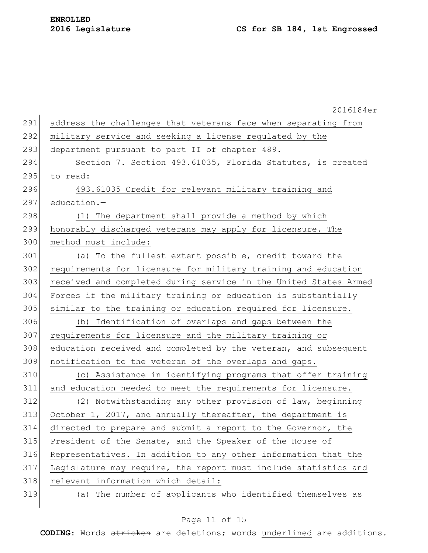|     | 2016184er                                                        |
|-----|------------------------------------------------------------------|
| 291 | address the challenges that veterans face when separating from   |
| 292 | military service and seeking a license regulated by the          |
| 293 | department pursuant to part II of chapter 489.                   |
| 294 | Section 7. Section 493.61035, Florida Statutes, is created       |
| 295 | to read:                                                         |
| 296 | 493.61035 Credit for relevant military training and              |
| 297 | education.-                                                      |
| 298 | (1) The department shall provide a method by which               |
| 299 | honorably discharged veterans may apply for licensure. The       |
| 300 | method must include:                                             |
| 301 | (a) To the fullest extent possible, credit toward the            |
| 302 | requirements for licensure for military training and education   |
| 303 | received and completed during service in the United States Armed |
| 304 | Forces if the military training or education is substantially    |
| 305 | similar to the training or education required for licensure.     |
| 306 | (b) Identification of overlaps and gaps between the              |
| 307 | requirements for licensure and the military training or          |
| 308 | education received and completed by the veteran, and subsequent  |
| 309 | notification to the veteran of the overlaps and gaps.            |
| 310 | (c) Assistance in identifying programs that offer training       |
| 311 | and education needed to meet the requirements for licensure.     |
| 312 | (2) Notwithstanding any other provision of law, beginning        |
| 313 | October 1, 2017, and annually thereafter, the department is      |
| 314 | directed to prepare and submit a report to the Governor, the     |
| 315 | President of the Senate, and the Speaker of the House of         |
| 316 | Representatives. In addition to any other information that the   |
| 317 | Legislature may require, the report must include statistics and  |
| 318 | relevant information which detail:                               |
| 319 | (a) The number of applicants who identified themselves as        |
|     |                                                                  |

## Page 11 of 15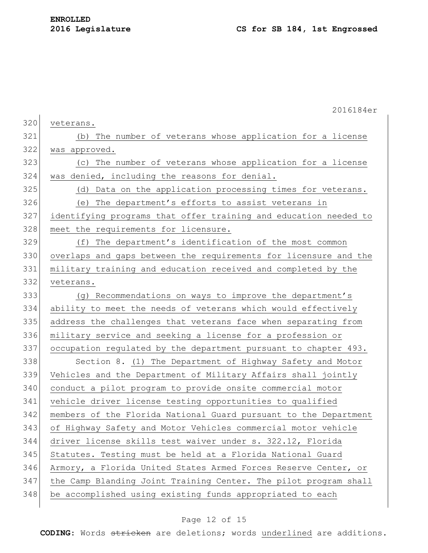|     | 2016184er                                                        |
|-----|------------------------------------------------------------------|
| 320 | veterans.                                                        |
| 321 | (b) The number of veterans whose application for a license       |
| 322 | was approved.                                                    |
| 323 | (c) The number of veterans whose application for a license       |
| 324 | was denied, including the reasons for denial.                    |
| 325 | (d) Data on the application processing times for veterans.       |
| 326 | The department's efforts to assist veterans in<br>(e)            |
| 327 | identifying programs that offer training and education needed to |
| 328 | meet the requirements for licensure.                             |
| 329 | The department's identification of the most common<br>(f)        |
| 330 | overlaps and gaps between the requirements for licensure and the |
| 331 | military training and education received and completed by the    |
| 332 | veterans.                                                        |
| 333 | (g) Recommendations on ways to improve the department's          |
| 334 | ability to meet the needs of veterans which would effectively    |
| 335 | address the challenges that veterans face when separating from   |
| 336 | military service and seeking a license for a profession or       |
| 337 | occupation regulated by the department pursuant to chapter 493.  |
| 338 | Section 8. (1) The Department of Highway Safety and Motor        |
| 339 | Vehicles and the Department of Military Affairs shall jointly    |
| 340 | conduct a pilot program to provide onsite commercial motor       |
| 341 | vehicle driver license testing opportunities to qualified        |
| 342 | members of the Florida National Guard pursuant to the Department |
| 343 | of Highway Safety and Motor Vehicles commercial motor vehicle    |
| 344 | driver license skills test waiver under s. 322.12, Florida       |
| 345 | Statutes. Testing must be held at a Florida National Guard       |
| 346 | Armory, a Florida United States Armed Forces Reserve Center, or  |
| 347 | the Camp Blanding Joint Training Center. The pilot program shall |
| 348 | be accomplished using existing funds appropriated to each        |
|     |                                                                  |

## Page 12 of 15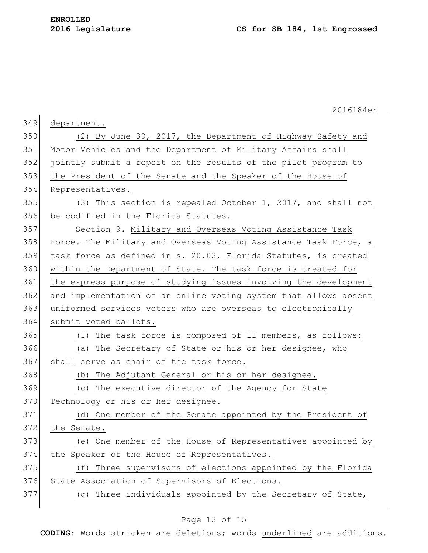|     | 2016184er                                                        |
|-----|------------------------------------------------------------------|
| 349 | department.                                                      |
| 350 | (2) By June 30, 2017, the Department of Highway Safety and       |
| 351 | Motor Vehicles and the Department of Military Affairs shall      |
| 352 | jointly submit a report on the results of the pilot program to   |
| 353 | the President of the Senate and the Speaker of the House of      |
| 354 | Representatives.                                                 |
| 355 | (3) This section is repealed October 1, 2017, and shall not      |
| 356 | be codified in the Florida Statutes.                             |
| 357 | Section 9. Military and Overseas Voting Assistance Task          |
| 358 | Force.-The Military and Overseas Voting Assistance Task Force, a |
| 359 | task force as defined in s. 20.03, Florida Statutes, is created  |
| 360 | within the Department of State. The task force is created for    |
| 361 | the express purpose of studying issues involving the development |
| 362 | and implementation of an online voting system that allows absent |
| 363 | uniformed services voters who are overseas to electronically     |
| 364 | submit voted ballots.                                            |
| 365 | (1) The task force is composed of 11 members, as follows:        |
| 366 | (a) The Secretary of State or his or her designee, who           |
| 367 | shall serve as chair of the task force.                          |
| 368 | The Adjutant General or his or her designee.<br>(b)              |
| 369 | (c) The executive director of the Agency for State               |
| 370 | Technology or his or her designee.                               |
| 371 | (d) One member of the Senate appointed by the President of       |
| 372 | the Senate.                                                      |
| 373 | (e) One member of the House of Representatives appointed by      |
| 374 | the Speaker of the House of Representatives.                     |
| 375 | Three supervisors of elections appointed by the Florida<br>(f)   |
| 376 | State Association of Supervisors of Elections.                   |
| 377 | (g) Three individuals appointed by the Secretary of State,       |
|     |                                                                  |

## Page 13 of 15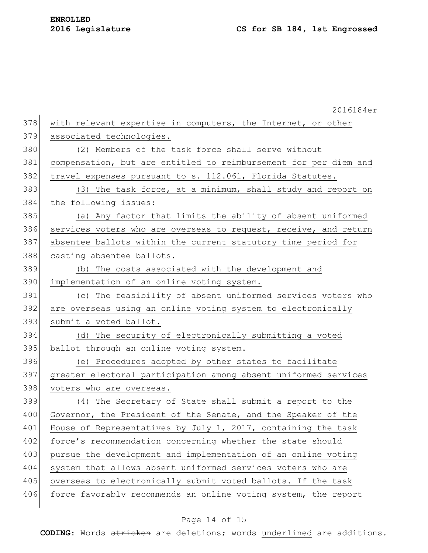|     | 2016184er                                                        |
|-----|------------------------------------------------------------------|
| 378 | with relevant expertise in computers, the Internet, or other     |
| 379 | associated technologies.                                         |
| 380 | (2) Members of the task force shall serve without                |
| 381 | compensation, but are entitled to reimbursement for per diem and |
| 382 | travel expenses pursuant to s. 112.061, Florida Statutes.        |
| 383 | (3) The task force, at a minimum, shall study and report on      |
| 384 | the following issues:                                            |
| 385 | (a) Any factor that limits the ability of absent uniformed       |
| 386 | services voters who are overseas to request, receive, and return |
| 387 | absentee ballots within the current statutory time period for    |
| 388 | casting absentee ballots.                                        |
| 389 | (b) The costs associated with the development and                |
| 390 | implementation of an online voting system.                       |
| 391 | (c) The feasibility of absent uniformed services voters who      |
| 392 | are overseas using an online voting system to electronically     |
| 393 | submit a voted ballot.                                           |
| 394 | (d) The security of electronically submitting a voted            |
| 395 | ballot through an online voting system.                          |
| 396 | (e) Procedures adopted by other states to facilitate             |
| 397 | greater electoral participation among absent uniformed services  |
| 398 | voters who are overseas.                                         |
| 399 | (4) The Secretary of State shall submit a report to the          |
| 400 | Governor, the President of the Senate, and the Speaker of the    |
| 401 | House of Representatives by July 1, 2017, containing the task    |
| 402 | force's recommendation concerning whether the state should       |
| 403 | pursue the development and implementation of an online voting    |
| 404 | system that allows absent uniformed services voters who are      |
| 405 | overseas to electronically submit voted ballots. If the task     |
| 406 | force favorably recommends an online voting system, the report   |
|     |                                                                  |

## Page 14 of 15